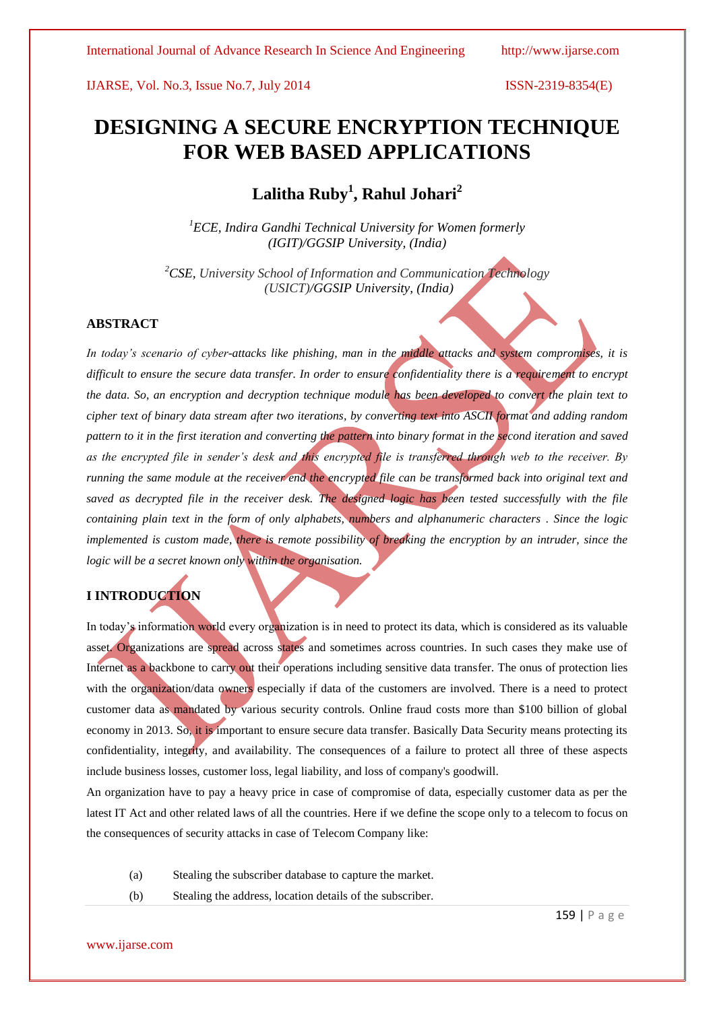# **DESIGNING A SECURE ENCRYPTION TECHNIQUE FOR WEB BASED APPLICATIONS**

# **Lalitha Ruby<sup>1</sup> , Rahul Johari<sup>2</sup>**

*<sup>1</sup>ECE, Indira Gandhi Technical University for Women formerly (IGIT)/GGSIP University, (India)*

*<sup>2</sup>CSE, University School of Information and Communication Technology (USICT)/GGSIP University, (India)*

# **ABSTRACT**

*In today's scenario of cyber-attacks like phishing, man in the middle attacks and system compromises, it is*  difficult to ensure the secure data transfer. In order to ensure confidentiality there is a requirement to encrypt *the data. So, an encryption and decryption technique module has been developed to convert the plain text to cipher text of binary data stream after two iterations, by converting text into ASCII format and adding random pattern to it in the first iteration and converting the pattern into binary format in the second iteration and saved as the encrypted file in sender's desk and this encrypted file is transferred through web to the receiver. By running the same module at the receiver end the encrypted file can be transformed back into original text and saved as decrypted file in the receiver desk. The designed logic has been tested successfully with the file containing plain text in the form of only alphabets, numbers and alphanumeric characters . Since the logic implemented is custom made, there is remote possibility of breaking the encryption by an intruder, since the logic will be a secret known only within the organisation.*

# **I INTRODUCTION**

In today's information world every organization is in need to protect its data, which is considered as its valuable asset. Organizations are spread across states and sometimes across countries. In such cases they make use of Internet as a backbone to carry out their operations including sensitive data transfer. The onus of protection lies with the organization/data owners especially if data of the customers are involved. There is a need to protect customer data as mandated by various security controls. Online fraud costs more than \$100 billion of global economy in 2013. So, it is important to ensure secure data transfer. Basically Data Security means protecting its confidentiality, integrity, and availability. The consequences of a failure to protect all three of these aspects include business losses, customer loss, legal liability, and loss of company's goodwill.

An organization have to pay a heavy price in case of compromise of data, especially customer data as per the latest IT Act and other related laws of all the countries. Here if we define the scope only to a telecom to focus on the consequences of security attacks in case of Telecom Company like:

- (a) Stealing the subscriber database to capture the market.
- (b) Stealing the address, location details of the subscriber.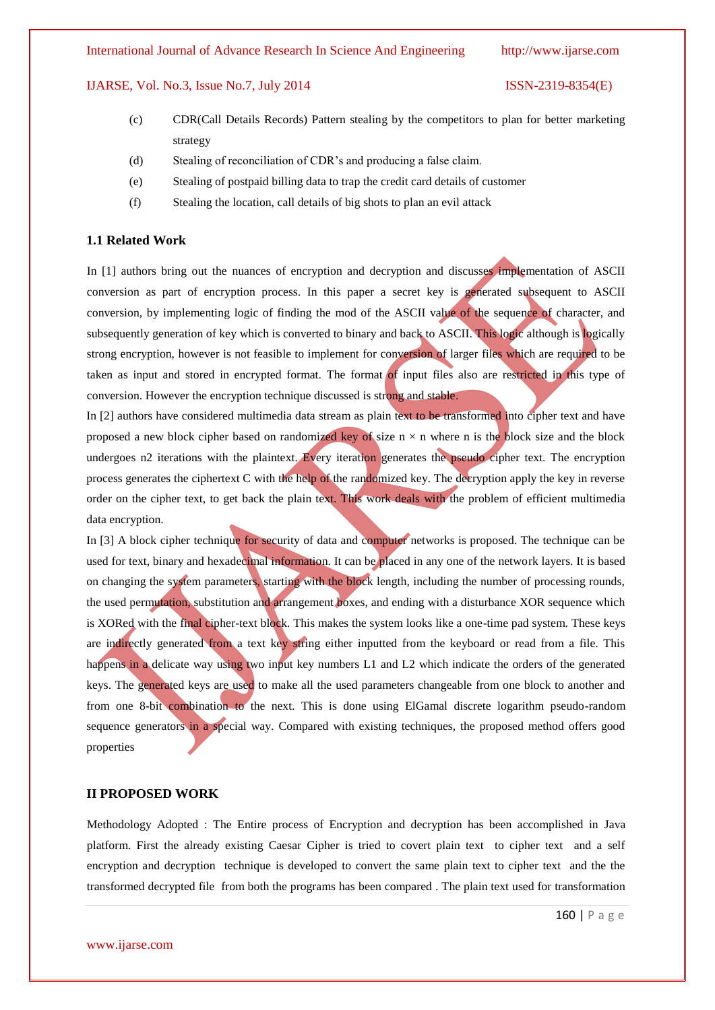- (c) CDR(Call Details Records) Pattern stealing by the competitors to plan for better marketing strategy
- (d) Stealing of reconciliation of CDR's and producing a false claim.
- (e) Stealing of postpaid billing data to trap the credit card details of customer
- (f) Stealing the location, call details of big shots to plan an evil attack

#### **1.1 Related Work**

In [1] authors bring out the nuances of encryption and decryption and discusses implementation of ASCII conversion as part of encryption process. In this paper a secret key is generated subsequent to ASCII conversion, by implementing logic of finding the mod of the ASCII value of the sequence of character, and subsequently generation of key which is converted to binary and back to ASCII. This logic although is logically strong encryption, however is not feasible to implement for conversion of larger files which are required to be taken as input and stored in encrypted format. The format of input files also are restricted in this type of conversion. However the encryption technique discussed is strong and stable.

In [2] authors have considered multimedia data stream as plain text to be transformed into cipher text and have proposed a new block cipher based on randomized key of size  $n \times n$  where n is the block size and the block undergoes n2 iterations with the plaintext. Every iteration generates the pseudo cipher text. The encryption process generates the ciphertext C with the help of the randomized key. The decryption apply the key in reverse order on the cipher text, to get back the plain text. This work deals with the problem of efficient multimedia data encryption.

In [3] A block cipher technique for security of data and computer networks is proposed. The technique can be used for text, binary and hexadecimal information. It can be placed in any one of the network layers. It is based on changing the system parameters, starting with the block length, including the number of processing rounds, the used permutation, substitution and arrangement boxes, and ending with a disturbance XOR sequence which is XORed with the final cipher-text block. This makes the system looks like a one-time pad system. These keys are indirectly generated from a text key string either inputted from the keyboard or read from a file. This happens in a delicate way using two input key numbers L1 and L2 which indicate the orders of the generated keys. The generated keys are used to make all the used parameters changeable from one block to another and from one 8-bit combination to the next. This is done using ElGamal discrete logarithm pseudo-random sequence generators in a special way. Compared with existing techniques, the proposed method offers good properties

#### **II PROPOSED WORK**

Methodology Adopted : The Entire process of Encryption and decryption has been accomplished in Java platform. First the already existing Caesar Cipher is tried to covert plain text to cipher text and a self encryption and decryption technique is developed to convert the same plain text to cipher text and the the transformed decrypted file from both the programs has been compared . The plain text used for transformation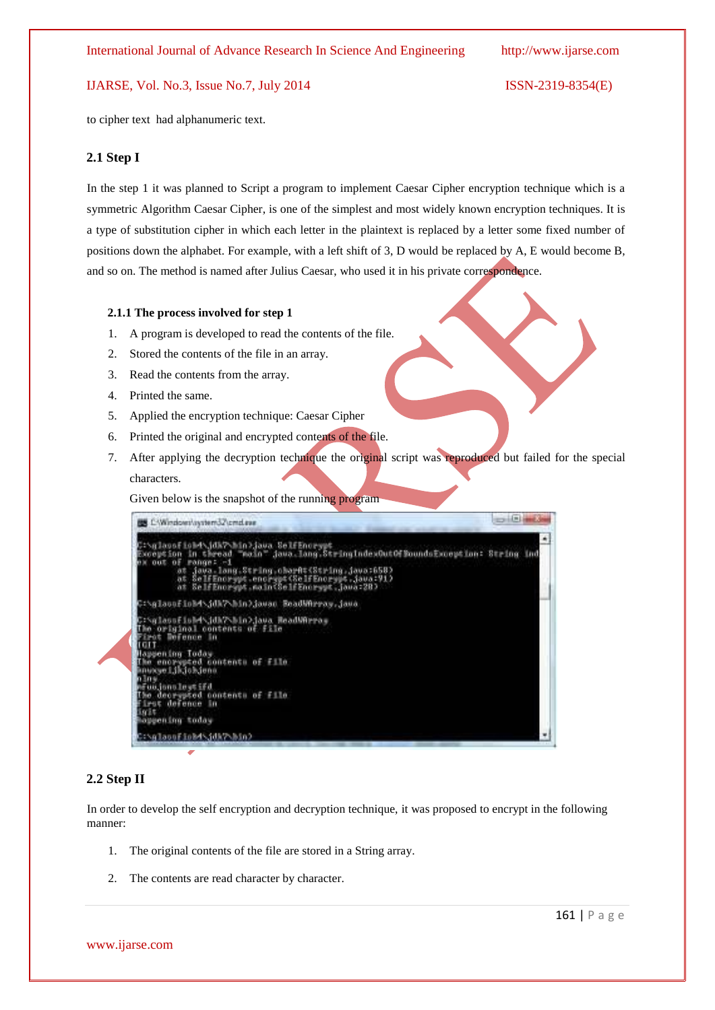to cipher text had alphanumeric text.

#### **2.1 Step I**

In the step 1 it was planned to Script a program to implement Caesar Cipher encryption technique which is a symmetric Algorithm Caesar Cipher, is one of the simplest and most widely known encryption techniques. It is a type of substitution cipher in which each letter in the plaintext is replaced by a letter some fixed number of positions down the alphabet. For example, with a left shift of 3, D would be replaced by A, E would become B, and so on. The method is named after Julius Caesar, who used it in his private correspondence.

#### **2.1.1 The process involved for step 1**

- 1. A program is developed to read the contents of the file.
- 2. Stored the contents of the file in an array.
- 3. Read the contents from the array.
- 4. Printed the same.
- 5. Applied the encryption technique: Caesar Cipher
- 6. Printed the original and encrypted contents of the file.
- 7. After applying the decryption technique the original script was reproduced but failed for the special characters.

Given below is the snapshot of the running program



#### **2.2 Step II**

In order to develop the self encryption and decryption technique, it was proposed to encrypt in the following manner:

- 1. The original contents of the file are stored in a String array.
- 2. The contents are read character by character.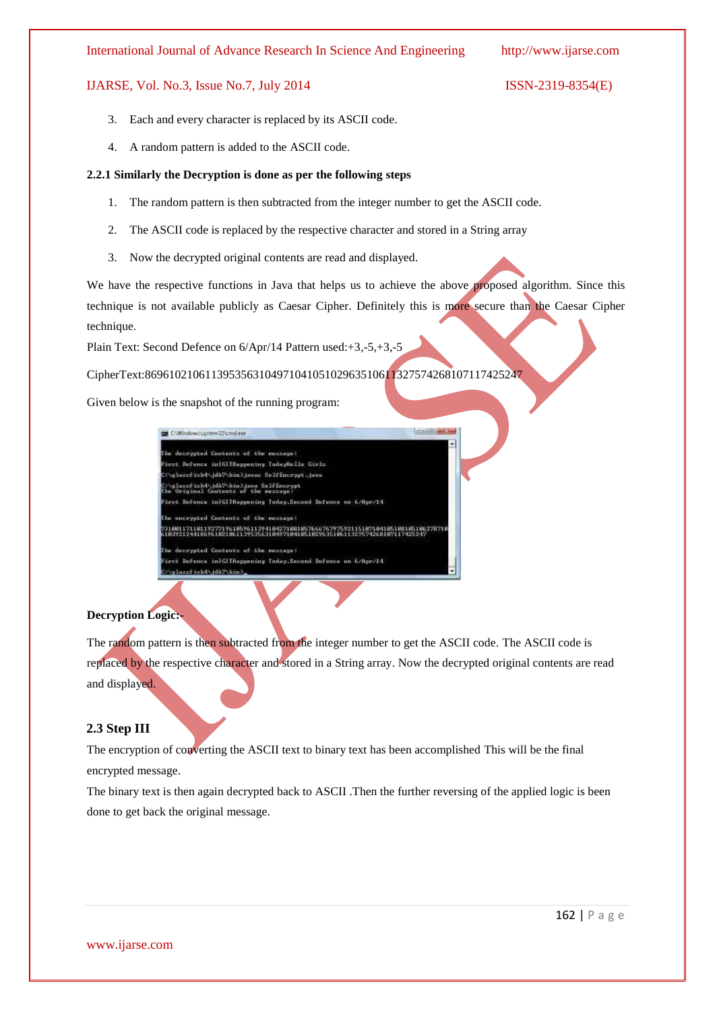- 3. Each and every character is replaced by its ASCII code.
- 4. A random pattern is added to the ASCII code.

### **2.2.1 Similarly the Decryption is done as per the following steps**

- 1. The random pattern is then subtracted from the integer number to get the ASCII code.
- 2. The ASCII code is replaced by the respective character and stored in a String array
- 3. Now the decrypted original contents are read and displayed.

We have the respective functions in Java that helps us to achieve the above proposed algorithm. Since this technique is not available publicly as Caesar Cipher. Definitely this is more secure than the Caesar Cipher technique.

Plain Text: Second Defence on 6/Apr/14 Pattern used:+3,-5,+3,-5

CipherText:869610210611395356310497104105102963510611327574268107117425247

Given below is the snapshot of the running program:

| C/Window//pystem32\cmd.eve                                                                                                                                  |
|-------------------------------------------------------------------------------------------------------------------------------------------------------------|
|                                                                                                                                                             |
| The decrepted Contents of the message!                                                                                                                      |
| irst Defence in Climagening IndayHells Cirls                                                                                                                |
| Cinglassfishd dk? hin) jaoar Solffmerget .jaoa                                                                                                              |
| Natasaftsh4\jdk?\hin>java_falffneyyet<br>The Original Contents of the message?                                                                              |
| Pirst Defence inIGIINappening Today.Second Defence on 6/Apr/14                                                                                              |
| The uncrypted Contents of the message)                                                                                                                      |
| 88117118119277196185961139418427188185766676797592115187184185188186186278718<br>61899212441869618218611395356318497184185182963518611327574268187117425247 |
| The decrypted Contents of the message?                                                                                                                      |
| Eirst Defence inlGIIHappening Inday.Second Defence on 6/Rpr/14                                                                                              |
| "Colared inhabitation in                                                                                                                                    |

# **Decryption Logic:-**

The random pattern is then subtracted from the integer number to get the ASCII code. The ASCII code is replaced by the respective character and stored in a String array. Now the decrypted original contents are read and displayed.

# **2.3 Step III**

The encryption of converting the ASCII text to binary text has been accomplished This will be the final encrypted message.

The binary text is then again decrypted back to ASCII .Then the further reversing of the applied logic is been done to get back the original message.